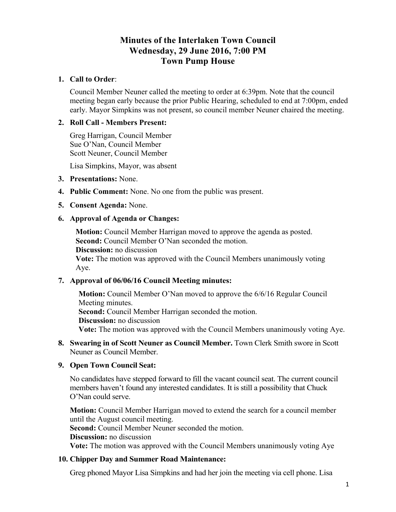# **Minutes of the Interlaken Town Council Wednesday, 29 June 2016, 7:00 PM Town Pump House**

## **1. Call to Order**:

Council Member Neuner called the meeting to order at 6:39pm. Note that the council meeting began early because the prior Public Hearing, scheduled to end at 7:00pm, ended early. Mayor Simpkins was not present, so council member Neuner chaired the meeting.

## **2. Roll Call - Members Present:**

Greg Harrigan, Council Member Sue O'Nan, Council Member Scott Neuner, Council Member

Lisa Simpkins, Mayor, was absent

- **3. Presentations:** None.
- **4. Public Comment:** None. No one from the public was present.
- **5. Consent Agenda:** None.

#### **6. Approval of Agenda or Changes:**

**Motion:** Council Member Harrigan moved to approve the agenda as posted. **Second:** Council Member O'Nan seconded the motion. **Discussion:** no discussion

**Vote:** The motion was approved with the Council Members unanimously voting Aye.

#### **7. Approval of 06/06/16 Council Meeting minutes:**

**Motion:** Council Member O'Nan moved to approve the 6/6/16 Regular Council Meeting minutes. **Second:** Council Member Harrigan seconded the motion. **Discussion:** no discussion **Vote:** The motion was approved with the Council Members unanimously voting Aye.

**8. Swearing in of Scott Neuner as Council Member.** Town Clerk Smith swore in Scott Neuner as Council Member.

#### **9. Open Town Council Seat:**

No candidates have stepped forward to fill the vacant council seat. The current council members haven't found any interested candidates. It is still a possibility that Chuck O'Nan could serve.

**Motion:** Council Member Harrigan moved to extend the search for a council member until the August council meeting.

**Second:** Council Member Neuner seconded the motion.

**Discussion:** no discussion

**Vote:** The motion was approved with the Council Members unanimously voting Aye

#### **10. Chipper Day and Summer Road Maintenance:**

Greg phoned Mayor Lisa Simpkins and had her join the meeting via cell phone. Lisa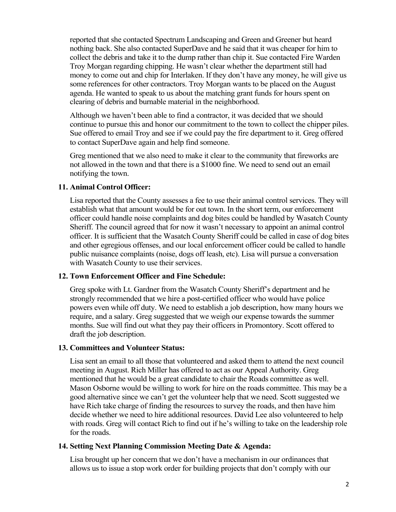reported that she contacted Spectrum Landscaping and Green and Greener but heard nothing back. She also contacted SuperDave and he said that it was cheaper for him to collect the debris and take it to the dump rather than chip it. Sue contacted Fire Warden Troy Morgan regarding chipping. He wasn't clear whether the department still had money to come out and chip for Interlaken. If they don't have any money, he will give us some references for other contractors. Troy Morgan wants to be placed on the August agenda. He wanted to speak to us about the matching grant funds for hours spent on clearing of debris and burnable material in the neighborhood.

Although we haven't been able to find a contractor, it was decided that we should continue to pursue this and honor our commitment to the town to collect the chipper piles. Sue offered to email Troy and see if we could pay the fire department to it. Greg offered to contact SuperDave again and help find someone.

Greg mentioned that we also need to make it clear to the community that fireworks are not allowed in the town and that there is a \$1000 fine. We need to send out an email notifying the town.

# **11. Animal Control Officer:**

Lisa reported that the County assesses a fee to use their animal control services. They will establish what that amount would be for out town. In the short term, our enforcement officer could handle noise complaints and dog bites could be handled by Wasatch County Sheriff. The council agreed that for now it wasn't necessary to appoint an animal control officer. It is sufficient that the Wasatch County Sheriff could be called in case of dog bites and other egregious offenses, and our local enforcement officer could be called to handle public nuisance complaints (noise, dogs off leash, etc). Lisa will pursue a conversation with Wasatch County to use their services.

#### **12. Town Enforcement Officer and Fine Schedule:**

Greg spoke with Lt. Gardner from the Wasatch County Sheriff's department and he strongly recommended that we hire a post-certified officer who would have police powers even while off duty. We need to establish a job description, how many hours we require, and a salary. Greg suggested that we weigh our expense towards the summer months. Sue will find out what they pay their officers in Promontory. Scott offered to draft the job description.

# **13. Committees and Volunteer Status:**

Lisa sent an email to all those that volunteered and asked them to attend the next council meeting in August. Rich Miller has offered to act as our Appeal Authority. Greg mentioned that he would be a great candidate to chair the Roads committee as well. Mason Osborne would be willing to work for hire on the roads committee. This may be a good alternative since we can't get the volunteer help that we need. Scott suggested we have Rich take charge of finding the resources to survey the roads, and then have him decide whether we need to hire additional resources. David Lee also volunteered to help with roads. Greg will contact Rich to find out if he's willing to take on the leadership role for the roads.

#### **14. Setting Next Planning Commission Meeting Date & Agenda:**

Lisa brought up her concern that we don't have a mechanism in our ordinances that allows us to issue a stop work order for building projects that don't comply with our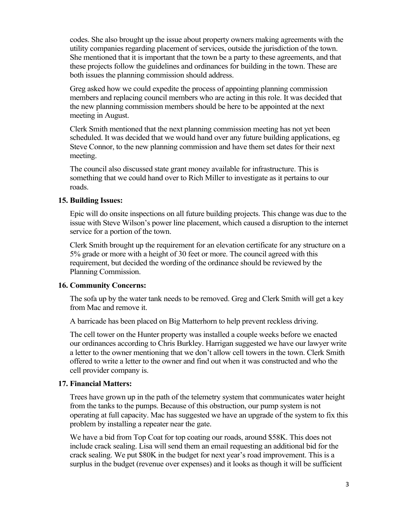codes. She also brought up the issue about property owners making agreements with the utility companies regarding placement of services, outside the jurisdiction of the town. She mentioned that it is important that the town be a party to these agreements, and that these projects follow the guidelines and ordinances for building in the town. These are both issues the planning commission should address.

Greg asked how we could expedite the process of appointing planning commission members and replacing council members who are acting in this role. It was decided that the new planning commission members should be here to be appointed at the next meeting in August.

Clerk Smith mentioned that the next planning commission meeting has not yet been scheduled. It was decided that we would hand over any future building applications, eg Steve Connor, to the new planning commission and have them set dates for their next meeting.

The council also discussed state grant money available for infrastructure. This is something that we could hand over to Rich Miller to investigate as it pertains to our roads.

### **15. Building Issues:**

Epic will do onsite inspections on all future building projects. This change was due to the issue with Steve Wilson's power line placement, which caused a disruption to the internet service for a portion of the town.

Clerk Smith brought up the requirement for an elevation certificate for any structure on a 5% grade or more with a height of 30 feet or more. The council agreed with this requirement, but decided the wording of the ordinance should be reviewed by the Planning Commission.

#### **16. Community Concerns:**

The sofa up by the water tank needs to be removed. Greg and Clerk Smith will get a key from Mac and remove it.

A barricade has been placed on Big Matterhorn to help prevent reckless driving.

The cell tower on the Hunter property was installed a couple weeks before we enacted our ordinances according to Chris Burkley. Harrigan suggested we have our lawyer write a letter to the owner mentioning that we don't allow cell towers in the town. Clerk Smith offered to write a letter to the owner and find out when it was constructed and who the cell provider company is.

#### **17. Financial Matters:**

Trees have grown up in the path of the telemetry system that communicates water height from the tanks to the pumps. Because of this obstruction, our pump system is not operating at full capacity. Mac has suggested we have an upgrade of the system to fix this problem by installing a repeater near the gate.

We have a bid from Top Coat for top coating our roads, around \$58K. This does not include crack sealing. Lisa will send them an email requesting an additional bid for the crack sealing. We put \$80K in the budget for next year's road improvement. This is a surplus in the budget (revenue over expenses) and it looks as though it will be sufficient